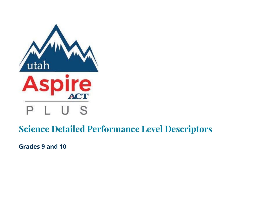

## **Science Detailed Performance Level Descriptors**

**Grades 9 and 10**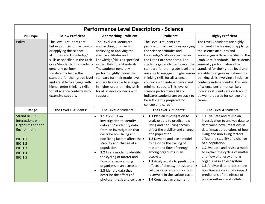|                                                                                                                                                                  | <b>Performance Level Descriptors - Science</b>                                                                                                                                                                                                                                                                                                                                              |                                                                                                                                                                                                                                                                                                                                                                                                                         |                                                                                                                                                                                                                                                                                                                                                                                                                                                                                                                      |                                                                                                                                                                                                                                                                                                                                                                                                                                                                                                   |  |  |  |  |  |  |
|------------------------------------------------------------------------------------------------------------------------------------------------------------------|---------------------------------------------------------------------------------------------------------------------------------------------------------------------------------------------------------------------------------------------------------------------------------------------------------------------------------------------------------------------------------------------|-------------------------------------------------------------------------------------------------------------------------------------------------------------------------------------------------------------------------------------------------------------------------------------------------------------------------------------------------------------------------------------------------------------------------|----------------------------------------------------------------------------------------------------------------------------------------------------------------------------------------------------------------------------------------------------------------------------------------------------------------------------------------------------------------------------------------------------------------------------------------------------------------------------------------------------------------------|---------------------------------------------------------------------------------------------------------------------------------------------------------------------------------------------------------------------------------------------------------------------------------------------------------------------------------------------------------------------------------------------------------------------------------------------------------------------------------------------------|--|--|--|--|--|--|
| <b>PLD Type</b>                                                                                                                                                  | <b>Below Proficient</b>                                                                                                                                                                                                                                                                                                                                                                     | <b>Approaching Proficient</b>                                                                                                                                                                                                                                                                                                                                                                                           | Proficient                                                                                                                                                                                                                                                                                                                                                                                                                                                                                                           | <b>Highly Proficient</b>                                                                                                                                                                                                                                                                                                                                                                                                                                                                          |  |  |  |  |  |  |
| Policy                                                                                                                                                           | The Level 1 students are<br>below proficient in achieving<br>or applying the science<br>attitudes and knowledge/<br>skills as specified in the Utah<br>Core Standards. The students<br>generally perform<br>significantly below the<br>standard for their grade level<br>and are able to engage with<br>higher-order thinking skills<br>for all science contexts with<br>extensive support. | The Level 2 students are<br>approaching proficient in<br>achieving or applying the<br>science attitudes and<br>knowledge/skills as specified<br>in the Utah Core Standards.<br>The students generally<br>perform slightly below the<br>standard for their grade level<br>and are likely able to engage<br>in higher-order thinking skills<br>for all science contexts with<br>support.                                  | The Level 3 students are<br>proficient in achieving or applying<br>the science attitudes and<br>knowledge/skills as specified in<br>the Utah Core Standards. The<br>students generally perform at the<br>standard for their grade level and<br>are able to engage in higher-order<br>thinking skills for all science<br>contexts with independence and<br>minimal support. This level of<br>science performance likely<br>indicates students are on track to<br>be sufficiently prepared for<br>college or a career. | The Level 4 students are highly<br>proficient in achieving or applying<br>the science attitudes and<br>knowledge/skills as specified in the<br>Utah Core Standards. The students<br>generally perform above the<br>standard for their grade level and<br>are able to engage in higher-order<br>thinking skills involving all science<br>contexts independently. This level<br>of science performance likely<br>indicates students are on track to<br>be well-prepared for college or a<br>career. |  |  |  |  |  |  |
| Range                                                                                                                                                            | The Level 1 Students:                                                                                                                                                                                                                                                                                                                                                                       | The Level 2 Students:                                                                                                                                                                                                                                                                                                                                                                                                   | The Level 3 Students:                                                                                                                                                                                                                                                                                                                                                                                                                                                                                                | The Level 4 Students:                                                                                                                                                                                                                                                                                                                                                                                                                                                                             |  |  |  |  |  |  |
| Strand BIO.1:<br>Interactions with<br>Organisms and the<br>Environment<br><b>BIO.1.1</b><br><b>BIO.1.2</b><br><b>BIO.1.3</b><br><b>BIO.1.4</b><br><b>BIO.1.5</b> |                                                                                                                                                                                                                                                                                                                                                                                             | 1.1 Conduct an<br>investigation to identify<br>data and/or identify data<br>from an investigation that<br>describe how living and<br>non-living factors affect the<br>stability and change of a<br>population.<br>1.2 Use a model to identify<br>the cycling of matter and<br>flow of energy among<br>organisms in an ecosystem.<br>1.3 Identify data that<br>describe the effects of<br>photosynthesis and cellular  . | 1.1 Plan an investigation to<br>analyze data to predict how<br>living and non-living factors<br>affect the stability and change<br>of a population.<br>1.2 Develop and use a model<br>to describe the cycling of<br>matter and flow of energy<br>among organisms in an<br>ecosystem.<br>1.3 Analyze data to predict the<br>effects of photosynthesis and<br>cellular respiration on carbon<br>reservoirs in the carbon cycle.<br>1.4 Construct an argument                                                           | 1.1 Evaluate and revise an<br>investigation to analyze data to<br>determine how limitations in<br>data impact predictions of how<br>living and non-living factors<br>affect the stability and change<br>of a population.<br>1.2 Evaluate and revise a model<br>to explain the cycling of matter<br>and flow of energy among<br>organisms in an ecosystem.<br>1.3 Analyze data to determine<br>how limitations in data impact<br>predictions of the effects of<br>photosynthesis and cellular      |  |  |  |  |  |  |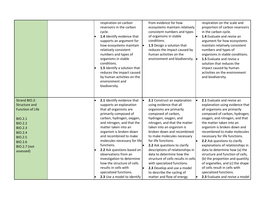|                                                                                                                                                                                                                  |  | respiration on carbon<br>reservoirs in the carbon<br>cycle.<br>1.4 Identify evidence that<br>supports an argument for<br>how ecosystems maintain<br>relatively consistent<br>numbers and types of<br>organisms in stable<br>conditions.<br>1.5 Identify a solution that<br>reduces the impact caused<br>by human activities on the<br>environment and<br>biodiversity.                                                                                                                             | from evidence for how<br>ecosystems maintain relatively<br>consistent numbers and types<br>of organisms in stable<br>conditions.<br>1.5 Design a solution that<br>reduces the impact caused by<br>human activities on the<br>environment and biodiversity. $\bullet$                                                                                                                                                                                                                                                                                  | respiration on the scale and<br>proportion of carbon reservoirs<br>in the carbon cycle.<br>1.4 Evaluate and revise an<br>argument for how ecosystems<br>maintain relatively consistent<br>numbers and types of<br>organisms in stable conditions.<br>1.5 Evaluate and revise a<br>solution that reduces the<br>impact caused by human<br>activities on the environment<br>and biodiversity.                                                                                                                                                                                                               |
|------------------------------------------------------------------------------------------------------------------------------------------------------------------------------------------------------------------|--|----------------------------------------------------------------------------------------------------------------------------------------------------------------------------------------------------------------------------------------------------------------------------------------------------------------------------------------------------------------------------------------------------------------------------------------------------------------------------------------------------|-------------------------------------------------------------------------------------------------------------------------------------------------------------------------------------------------------------------------------------------------------------------------------------------------------------------------------------------------------------------------------------------------------------------------------------------------------------------------------------------------------------------------------------------------------|-----------------------------------------------------------------------------------------------------------------------------------------------------------------------------------------------------------------------------------------------------------------------------------------------------------------------------------------------------------------------------------------------------------------------------------------------------------------------------------------------------------------------------------------------------------------------------------------------------------|
| Strand BIO.2:<br><b>Structure and</b><br><b>Function of Life</b><br><b>BIO.2.1</b><br><b>BIO.2.2</b><br><b>BIO.2.3</b><br><b>BIO.2.4</b><br><b>BIO.2.5</b><br><b>BIO.2.6</b><br><b>BIO.2.7</b> (not<br>assessed) |  | 2.1 Identify evidence that<br>supports an explanation<br>that all organisms are<br>primarily composed of<br>carbon, hydrogen, oxygen,<br>and nitrogen, and that the<br>matter taken into an<br>organism is broken down<br>and recombined to make<br>molecules necessary for life<br>functions.<br>2.2 Ask questions based on<br>observations from an<br>investigation to determine<br>how the structure of cells<br>results in cells with<br>specialized functions.<br>2.3 Use a model to identify | 2.1 Construct an explanation<br>using evidence that all<br>organisms are primarily<br>composed of carbon,<br>hydrogen, oxygen, and<br>nitrogen, and that the matter<br>taken into an organism is<br>broken down and recombined<br>to make molecules necessary<br>for life functions.<br>2.2 Ask questions to clarify<br>descriptions of relationships in<br>data to determine how the<br>structure of cells results in cells<br>with specialized functions.<br>2.3 Develop and use a model<br>to describe the cycling of<br>matter and flow of energy | 2.1 Evaluate and revise an<br>explanation using evidence that<br>all organisms are primarily<br>composed of carbon, hydrogen,<br>oxygen, and nitrogen, and that<br>the matter taken into an<br>organism is broken down and<br>recombined to make molecules<br>necessary for life functions.<br>2.2 Ask questions to clarify<br>explanations of relationships in<br>data to determine how (a) the<br>structure and function of cells,<br>(b) the proportion and quantity<br>of organelles, and (c) the shape<br>of cells result in cells with<br>specialized functions.<br>2.3 Evaluate and revise a model |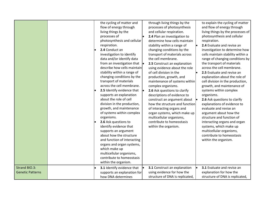|                                          |  | the cycling of matter and<br>flow of energy through<br>living things by the<br>processes of<br>photosynthesis and cellular<br>respiration.<br>2.4 Conduct an<br>investigation to identify<br>data and/or identify data<br>from an investigation that $\vert \cdot \vert$<br>describe how cells maintain<br>stability within a range of<br>changing conditions by the<br>transport of materials<br>across the cell membrane.<br>2.5 Identify evidence that<br>supports an explanation<br>about the role of cell<br>division in the production,<br>growth, and maintenance<br>of systems within complex<br>organisms.<br>2.6 Ask questions to<br>identify evidence that<br>supports an argument<br>about how the structure<br>and function of interacting<br>organs and organ systems,<br>which make up<br>multicellular organisms,<br>contribute to homeostasis<br>within the organism. | through living things by the<br>processes of photosynthesis<br>and cellular respiration.<br>2.4 Plan an investigation to<br>determine how cells maintain<br>stability within a range of<br>changing conditions by the<br>transport of materials across<br>the cell membrane.<br>2.5 Construct an explanation<br>using evidence about the role<br>of cell division in the<br>production, growth, and<br>maintenance of systems within<br>complex organisms.<br>2.6 Ask questions to clarify<br>descriptions of evidence to<br>construct an argument about<br>how the structure and function<br>of interacting organs and<br>organ systems, which make up<br>multicellular organisms,<br>contribute to homeostasis<br>within the organism. | to explain the cycling of matter<br>and flow of energy through<br>living things by the processes of<br>photosynthesis and cellular<br>respiration.<br>2.4 Evaluate and revise an<br>investigation to determine how<br>cells maintain stability within a<br>range of changing conditions by<br>the transport of materials<br>across the cell membrane.<br>2.5 Evaluate and revise an<br>explanation about the role of<br>cell division in the production,<br>growth, and maintenance of<br>systems within complex<br>organisms.<br>2.6 Ask questions to clarify<br>explanations of evidence to<br>evaluate and revise an<br>argument about how the<br>structure and function of<br>interacting organs and organ<br>systems, which make up<br>multicellular organisms,<br>contribute to homeostasis<br>within the organism. |
|------------------------------------------|--|----------------------------------------------------------------------------------------------------------------------------------------------------------------------------------------------------------------------------------------------------------------------------------------------------------------------------------------------------------------------------------------------------------------------------------------------------------------------------------------------------------------------------------------------------------------------------------------------------------------------------------------------------------------------------------------------------------------------------------------------------------------------------------------------------------------------------------------------------------------------------------------|------------------------------------------------------------------------------------------------------------------------------------------------------------------------------------------------------------------------------------------------------------------------------------------------------------------------------------------------------------------------------------------------------------------------------------------------------------------------------------------------------------------------------------------------------------------------------------------------------------------------------------------------------------------------------------------------------------------------------------------|---------------------------------------------------------------------------------------------------------------------------------------------------------------------------------------------------------------------------------------------------------------------------------------------------------------------------------------------------------------------------------------------------------------------------------------------------------------------------------------------------------------------------------------------------------------------------------------------------------------------------------------------------------------------------------------------------------------------------------------------------------------------------------------------------------------------------|
| Strand BIO.3:<br><b>Genetic Patterns</b> |  | 3.1 Identify evidence that<br>supports an explanation for<br>how DNA determines                                                                                                                                                                                                                                                                                                                                                                                                                                                                                                                                                                                                                                                                                                                                                                                                        | 3.1 Construct an explanation<br>using evidence for how the<br>structure of DNA is replicated,                                                                                                                                                                                                                                                                                                                                                                                                                                                                                                                                                                                                                                            | 3.1 Evaluate and revise an<br>explanation for how the<br>structure of DNA is replicated,                                                                                                                                                                                                                                                                                                                                                                                                                                                                                                                                                                                                                                                                                                                                  |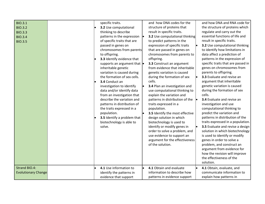| <b>BIO.3.1</b><br><b>BIO.3.2</b><br><b>BIO.3.3</b><br><b>BIO.3.4</b><br><b>BIO.3.5</b> | specific traits.<br>3.2 Use computational<br>thinking to describe<br>patterns in the expression<br>of specific traits that are<br>passed in genes on<br>chromosomes from parents<br>to offspring.<br>3.3 Identify evidence that<br>supports an argument that $\vert \bullet \vert$<br>inheritable genetic<br>variation is caused during<br>the formation of sex cells.<br>3.4 Conduct an<br>investigation to identify<br>data and/or identify data<br>from an investigation that<br>describe the variation and<br>patterns in distribution of<br>the traits expressed in a<br>population.<br>3.5 Identify a problem that<br>biotechnology is able to<br>solve. | and how DNA codes for the<br>structure of proteins that<br>result in specific traits.<br>3.2 Use computational thinking<br>to predict patterns in the<br>expression of specific traits<br>that are passed in genes on<br>chromosomes from parents to<br>offspring.<br>3.3 Construct an argument<br>from evidence that inheritable<br>genetic variation is caused<br>during the formation of sex<br>cells.<br>3.4 Plan an investigation and<br>use computational thinking to<br>explain the variation and<br>patterns in distribution of the<br>traits expressed in a<br>population.<br>3.5 Identify the most effective<br>design solution in which<br>biotechnology is used to<br>identify or modify genes in<br>order to solve a problem, and<br>use evidence to support an<br>argument for the effectiveness<br>of the solution. | and how DNA and RNA code for<br>the structure of proteins which<br>regulate and carry out the<br>essential functions of life and<br>result in specific traits.<br>3.2 Use computational thinking<br>to identify how limitations in<br>data affect a prediction of<br>patterns in the expression of<br>specific traits that are passed in<br>genes on chromosomes from<br>parents to offspring.<br>3.3 Evaluate and revise an<br>argument that inheritable<br>genetic variation is caused<br>during the formation of sex<br>cells.<br>3.4 Evaluate and revise an<br>investigation and use<br>computational thinking to<br>predict the variation and<br>patterns in distribution of the<br>traits expressed in a population.<br>3.5 Evaluate and revise a design<br>solution in which biotechnology<br>is used to identify or modify<br>genes in order to solve a<br>problem, and construct an<br>argument from evidence for<br>how the revision will improve<br>the effectiveness of the<br>solution. |
|----------------------------------------------------------------------------------------|----------------------------------------------------------------------------------------------------------------------------------------------------------------------------------------------------------------------------------------------------------------------------------------------------------------------------------------------------------------------------------------------------------------------------------------------------------------------------------------------------------------------------------------------------------------------------------------------------------------------------------------------------------------|------------------------------------------------------------------------------------------------------------------------------------------------------------------------------------------------------------------------------------------------------------------------------------------------------------------------------------------------------------------------------------------------------------------------------------------------------------------------------------------------------------------------------------------------------------------------------------------------------------------------------------------------------------------------------------------------------------------------------------------------------------------------------------------------------------------------------------|------------------------------------------------------------------------------------------------------------------------------------------------------------------------------------------------------------------------------------------------------------------------------------------------------------------------------------------------------------------------------------------------------------------------------------------------------------------------------------------------------------------------------------------------------------------------------------------------------------------------------------------------------------------------------------------------------------------------------------------------------------------------------------------------------------------------------------------------------------------------------------------------------------------------------------------------------------------------------------------------------|
| <b>Strand BIO.4:</b><br><b>Evolutionary Change</b>                                     | 4.1 Use information to<br>identify the patterns in<br>evidence that support                                                                                                                                                                                                                                                                                                                                                                                                                                                                                                                                                                                    | 4.1 Obtain and evaluate<br>le<br>information to describe how<br>patterns in evidence support                                                                                                                                                                                                                                                                                                                                                                                                                                                                                                                                                                                                                                                                                                                                       | 4.1 Obtain, evaluate, and<br>communicate information to<br>explain how patterns in                                                                                                                                                                                                                                                                                                                                                                                                                                                                                                                                                                                                                                                                                                                                                                                                                                                                                                                   |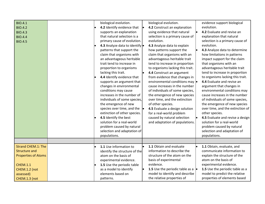| <b>BIO.4.1</b><br><b>BIO.4.2</b><br><b>BIO.4.3</b><br><b>BIO.4.4</b><br><b>BIO.4.5</b>                                                            |  | biological evolution.<br>4.2 Identify evidence that<br>supports an explanation<br>that natural selection is a<br>primary cause of evolution.<br>4.3 Analyze data to identify .<br>patterns that support the<br>claim that organisms with<br>an advantageous heritable<br>trait tend to increase in<br>proportion to organisms<br>lacking this trait.<br>4.4 Identify evidence that<br>supports an argument that<br>changes in environmental<br>conditions may cause<br>increases in the number of<br>individuals of some species,<br>the emergence of new<br>species over time, and the $\vert \bullet \vert$<br>extinction of other species.<br>4.5 Identify the best<br>solution for a real-world<br>problem caused by natural<br>selection and adaptation of<br>populations. | ∣∙ | biological evolution.<br>4.2 Construct an explanation<br>using evidence that natural<br>selection is a primary cause of<br>evolution.<br>4.3 Analyze data to explain<br>how patterns support the<br>claim that organisms with an<br>advantageous heritable trait<br>tend to increase in proportion<br>to organisms lacking this trait.<br>4.4 Construct an argument<br>from evidence that changes in<br>environmental conditions may $\bullet$<br>cause increases in the number<br>of individuals of some species,<br>the emergence of new species<br>over time, and the extinction<br>of other species.<br>4.5 Evaluate a design solution<br>for a real-world problem<br>caused by natural selection<br>and adaptation of populations. | evidence support biological<br>evolution.<br>4.2 Evaluate and revise an<br>explanation that natural<br>selection is a primary cause of<br>evolution.<br>4.3 Analyze data to determine<br>how limitations in patterns<br>impact support for the claim<br>that organisms with an<br>advantageous heritable trait<br>tend to increase in proportion<br>to organisms lacking this trait.<br>4.4 Evaluate and revise an<br>argument that changes in<br>environmental conditions may<br>cause increases in the number<br>of individuals of some species,<br>the emergence of new species<br>over time, and the extinction of<br>other species.<br>4.5 Evaluate and revise a design<br>solution for a real-world<br>problem caused by natural<br>selection and adaptation of<br>populations. |
|---------------------------------------------------------------------------------------------------------------------------------------------------|--|---------------------------------------------------------------------------------------------------------------------------------------------------------------------------------------------------------------------------------------------------------------------------------------------------------------------------------------------------------------------------------------------------------------------------------------------------------------------------------------------------------------------------------------------------------------------------------------------------------------------------------------------------------------------------------------------------------------------------------------------------------------------------------|----|-----------------------------------------------------------------------------------------------------------------------------------------------------------------------------------------------------------------------------------------------------------------------------------------------------------------------------------------------------------------------------------------------------------------------------------------------------------------------------------------------------------------------------------------------------------------------------------------------------------------------------------------------------------------------------------------------------------------------------------------|---------------------------------------------------------------------------------------------------------------------------------------------------------------------------------------------------------------------------------------------------------------------------------------------------------------------------------------------------------------------------------------------------------------------------------------------------------------------------------------------------------------------------------------------------------------------------------------------------------------------------------------------------------------------------------------------------------------------------------------------------------------------------------------|
| <b>Strand CHEM.1: The</b><br><b>Structure and</b><br><b>Properties of Atoms</b><br><b>CHEM.1.1</b><br>CHEM.1.2 (not<br>assessed)<br>CHEM.1.3 (not |  | 1.1 Use information to<br>identify the structure of the<br>atom on the basis of<br>experimental evidence.<br>1.5 Use the periodic table<br>as a model to identify<br>elements based on<br>patterns.                                                                                                                                                                                                                                                                                                                                                                                                                                                                                                                                                                             | l. | 1.1 Obtain and evaluate<br>information to describe the<br>structure of the atom on the<br>basis of experimental<br>evidence.<br>1.5 Use the periodic table as a $\bullet$<br>model to identify and describe<br>the relative properties of                                                                                                                                                                                                                                                                                                                                                                                                                                                                                               | 1.1 Obtain, evaluate, and<br>communicate information to<br>explain the structure of the<br>atom on the basis of<br>experimental evidence.<br>1.5 Use the periodic table as a<br>model to predict the relative<br>properties of elements based                                                                                                                                                                                                                                                                                                                                                                                                                                                                                                                                         |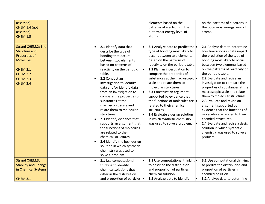| assessed)<br>CHEM.1.4 (not<br>assessed)<br><b>CHEM.1.5</b>                                                                                                         |  |                                                                                                                                                                                                                                                                                                                                                                                                                                                                                                                                                                                                                                                  | elements based on the<br>patterns of electrons in the<br>outermost energy level of<br>atoms.                                                                                                                                                                                                                                                                                                                                                                                                                                                                        | on the patterns of electrons in<br>the outermost energy level of<br>atoms.                                                                                                                                                                                                                                                                                                                                                                                                                                                                                                                                                                                     |
|--------------------------------------------------------------------------------------------------------------------------------------------------------------------|--|--------------------------------------------------------------------------------------------------------------------------------------------------------------------------------------------------------------------------------------------------------------------------------------------------------------------------------------------------------------------------------------------------------------------------------------------------------------------------------------------------------------------------------------------------------------------------------------------------------------------------------------------------|---------------------------------------------------------------------------------------------------------------------------------------------------------------------------------------------------------------------------------------------------------------------------------------------------------------------------------------------------------------------------------------------------------------------------------------------------------------------------------------------------------------------------------------------------------------------|----------------------------------------------------------------------------------------------------------------------------------------------------------------------------------------------------------------------------------------------------------------------------------------------------------------------------------------------------------------------------------------------------------------------------------------------------------------------------------------------------------------------------------------------------------------------------------------------------------------------------------------------------------------|
| <b>Strand CHEM.2: The</b><br><b>Structure and</b><br>Properties of<br><b>Molecules</b><br><b>CHEM.2.1</b><br><b>CHEM.2.2</b><br><b>CHEM.2.3</b><br><b>CHEM.2.4</b> |  | 2.1 Identify data that<br>describe the type of<br>bonding that occurs<br>between two elements<br>based on patterns of<br>reactivity on the periodic<br>table.<br>2.2 Conduct an<br>investigation to identify<br>data and/or identify data<br>from an investigation to<br>compare the properties of<br>substances at the<br>macroscopic scale and<br>relate them to molecular<br>structures.<br>2.3 Identify evidence that<br>supports an argument that<br>the functions of molecules<br>are related to their<br>chemical structures.<br>2.4 Identify the best design<br>solution in which synthetic<br>chemistry was used to<br>solve a problem. | 2.1 Analyze data to predict the<br>type of bonding most likely to<br>occur between two elements<br>based on the patterns of<br>reactivity on the periodic table.<br>2.2 Plan an investigation to<br>compare the properties of<br>substances at the macroscopic  <br>scale and relate them to<br>molecular structures.<br>2.3 Construct an argument<br>supported by evidence that<br>the functions of molecules are lo<br>related to their chemical<br>structures.<br>2.4 Evaluate a design solution<br>in which synthetic chemistry<br>was used to solve a problem. | 2.1 Analyze data to determine<br>how limitations in data impact<br>the prediction of the type of<br>bonding most likely to occur<br>between two elements based<br>on the patterns of reactivity on<br>the periodic table.<br>2.2 Evaluate and revise an<br>investigation to compare the<br>properties of substances at the<br>macroscopic scale and relate<br>them to molecular structures.<br>2.3 Evaluate and revise an<br>argument supported by<br>evidence that the functions of<br>molecules are related to their<br>chemical structures.<br>2.4 Evaluate and revise a design<br>solution in which synthetic<br>chemistry was used to solve a<br>problem. |
| <b>Strand CHEM.3:</b><br><b>Stability and Change</b><br>in Chemical Systems<br><b>CHEM.3.1</b>                                                                     |  | 3.1 Use computational<br>thinking to identify<br>chemical solutions that<br>differ in the distribution<br>and proportion of particles. •                                                                                                                                                                                                                                                                                                                                                                                                                                                                                                         | 3.1 Use computational thinking.<br>to describe the distribution<br>and proportion of particles in<br>chemical solution.<br>3.2 Analyze data to identify                                                                                                                                                                                                                                                                                                                                                                                                             | 3.1 Use computational thinking<br>to predict the distribution and<br>proportion of particles in<br>chemical solution.<br>3.2 Analyze data to determine                                                                                                                                                                                                                                                                                                                                                                                                                                                                                                         |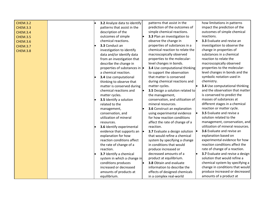| <b>CHEM.3.2</b> | 3.2 Analyze data to identify          | patterns that assist in the      | how limitations in patterns       |
|-----------------|---------------------------------------|----------------------------------|-----------------------------------|
| <b>CHEM.3.3</b> | patterns that assist in the           | prediction of the outcomes of    | impact the prediction of the      |
| <b>CHEM.3.4</b> | description of the                    | simple chemical reactions.       | outcomes of simple chemical       |
| <b>CHEM.3.5</b> | outcomes of simple                    | 3.3 Plan an investigation to     | reactions.                        |
| <b>CHEM.3.6</b> | chemical reactions.                   | observe the change in            | 3.3 Evaluate and revise an        |
| <b>CHEM.3.7</b> | 3.3 Conduct an                        | properties of substances in a    | investigation to observe the      |
| <b>CHEM.3.8</b> | investigation to identify             | chemical reaction to relate the  | change in properties of           |
|                 | data and/or identify data             | macroscopically observed         | substances in a chemical          |
|                 | from an investigation that            | properties to the molecular-     | reaction to relate the            |
|                 | describe the change in                | level changes in bonds.          | macroscopically observed          |
|                 | properties of substances in $\bullet$ | 3.4 Use computational thinking   | properties to the molecular-      |
|                 | a chemical reaction.                  | to support the observation       | level changes in bonds and the    |
|                 | 3.4 Use computational                 | that matter is conserved         | symbolic notation used in         |
|                 | thinking to observe that              | during chemical reactions and    | chemistry.                        |
|                 | matter is conserved during            | matter cycles.                   | 3.4 Use computational thinking    |
|                 | chemical reactions and                | 3.5 Design a solution related to | and the observation that matter   |
|                 | matter cycles.                        | the management,                  | is conserved to predict the       |
|                 | 3.5 Identify a solution               | conservation, and utilization of | masses of substances at           |
|                 | related to the                        | mineral resources.               | different stages in a chemical    |
|                 | management,                           | 3.6 Construct an explanation     | reaction or matter cycle.         |
|                 | conservation, and                     | using experimental evidence      | 3.5 Evaluate and revise a         |
|                 | utilization of mineral                | for how reaction conditions      | solution related to the           |
|                 | resources.                            | affect the rate of change of a   | management, conservation, and     |
|                 | 3.6 Identify experimental             | reaction.                        | utilization of mineral resources. |
|                 | evidence that supports an             | 3.7 Evaluate a design solution • | 3.6 Evaluate and revise an        |
|                 | explanation for how                   | that would refine a chemical     | explanation based on              |
|                 | reaction conditions affect            | system by specifying a change    | experimental evidence for how     |
|                 | the rate of change of a               | in conditions that would         | reaction conditions affect the    |
|                 | reaction.                             | produce increased or             | rate of change of a reaction.     |
|                 | 3.7 Identify a chemical               | decreased amounts of a           | 3.7 Evaluate and revise a design  |
|                 | system in which a change in           | product at equilibrium.          | solution that would refine a      |
|                 | conditions produces                   | 3.8 Obtain and evaluate          | chemical system by specifying a   |
|                 | increased or decreased                | information to describe the      | change in conditions that would   |
|                 | amounts of products at                | effects of designed chemicals    | produce increased or decreased    |
|                 | equilibrium.                          | in a complex real-world          | amounts of a product at           |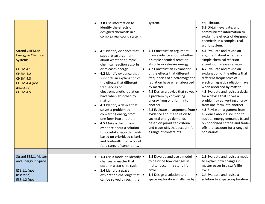| <b>Strand CHEM.4:</b><br><b>Energy in Chemical</b><br><b>Systems</b><br><b>CHEM.4.1</b><br><b>CHEM.4.2</b><br><b>CHEM.4.3</b><br>CHEM.4.4 (not<br>assessed)<br><b>CHEM.4.5</b> |  | 3.8 Use information to<br>identify the effects of<br>designed chemicals in a<br>complex real-world system.<br>4.1 Identify evidence that<br>supports an argument<br>about whether a simple<br>chemical reaction absorbs<br>or releases energy.<br>4.2 Identify evidence that<br>supports an explanation of<br>the effects that different<br>frequencies of<br>electromagnetic radiation<br>have when absorbed by<br>matter.<br>4.3 Identify a device that<br>solves a problem by<br>converting energy from<br>one form into another.<br>4.5 Make a claim from<br>evidence about a solution<br>to societal energy demands<br>based on prioritized criteria<br>and trade-offs that account | system.<br>4.1 Construct an argument<br>from evidence about whether<br>a simple chemical reaction<br>absorbs or releases energy.<br>4.2 Construct an explanation<br>of the effects that different<br>frequencies of electromagnetic<br>radiation have when absorbed<br>by matter.<br>4.3 Design a device that solves  <br>a problem by converting<br>energy from one form into<br>another.<br>4.5 Evaluate an argument from<br>evidence about a solution to<br>societal energy demands<br>based on prioritized criteria<br>and trade-offs that account for<br>a range of constraints. | equilibrium.<br>3.8 Obtain, evaluate, and<br>communicate information to<br>explain the effects of designed<br>chemicals in a complex real-<br>world system.<br>4.1 Evaluate and revise an<br>argument about whether a<br>simple chemical reaction<br>absorbs or releases energy.<br>4.2 Evaluate and revise an<br>explanation of the effects that<br>different frequencies of<br>electromagnetic radiation have<br>when absorbed by matter.<br>4.3 Evaluate and revise a design<br>for a device that solves a<br>problem by converting energy<br>from one form into another.<br>4.5 Revise an argument from<br>evidence about a solution to<br>societal energy demands based<br>on prioritized criteria and trade-<br>offs that account for a range of<br>constraints. |
|--------------------------------------------------------------------------------------------------------------------------------------------------------------------------------|--|------------------------------------------------------------------------------------------------------------------------------------------------------------------------------------------------------------------------------------------------------------------------------------------------------------------------------------------------------------------------------------------------------------------------------------------------------------------------------------------------------------------------------------------------------------------------------------------------------------------------------------------------------------------------------------------|---------------------------------------------------------------------------------------------------------------------------------------------------------------------------------------------------------------------------------------------------------------------------------------------------------------------------------------------------------------------------------------------------------------------------------------------------------------------------------------------------------------------------------------------------------------------------------------|------------------------------------------------------------------------------------------------------------------------------------------------------------------------------------------------------------------------------------------------------------------------------------------------------------------------------------------------------------------------------------------------------------------------------------------------------------------------------------------------------------------------------------------------------------------------------------------------------------------------------------------------------------------------------------------------------------------------------------------------------------------------|
|                                                                                                                                                                                |  | for a range of constraints.                                                                                                                                                                                                                                                                                                                                                                                                                                                                                                                                                                                                                                                              |                                                                                                                                                                                                                                                                                                                                                                                                                                                                                                                                                                                       |                                                                                                                                                                                                                                                                                                                                                                                                                                                                                                                                                                                                                                                                                                                                                                        |
|                                                                                                                                                                                |  |                                                                                                                                                                                                                                                                                                                                                                                                                                                                                                                                                                                                                                                                                          |                                                                                                                                                                                                                                                                                                                                                                                                                                                                                                                                                                                       |                                                                                                                                                                                                                                                                                                                                                                                                                                                                                                                                                                                                                                                                                                                                                                        |
| Strand ESS.1: Matter<br>and Energy in Space<br>ESS.1.1 (not<br>assessed)                                                                                                       |  | 1.3 Use a model to identify  .<br>changes in matter that<br>occur in a star's life cycle.<br>1.4 Identify a space<br>exploration challenge that $  \bullet  $                                                                                                                                                                                                                                                                                                                                                                                                                                                                                                                            | 1.3 Develop and use a model<br>to describe how changes in<br>matter occur in a star's life<br>cycle.<br>1.4 Design a solution to a                                                                                                                                                                                                                                                                                                                                                                                                                                                    | 1.3 Evaluate and revise a model<br>to explain how changes in<br>matter occur in a star's life<br>cycle.<br>1.4 Evaluate and revise a                                                                                                                                                                                                                                                                                                                                                                                                                                                                                                                                                                                                                                   |
| ESS.1.2 (not                                                                                                                                                                   |  | can be solved through the                                                                                                                                                                                                                                                                                                                                                                                                                                                                                                                                                                                                                                                                | space exploration challenge by                                                                                                                                                                                                                                                                                                                                                                                                                                                                                                                                                        | solution to a space exploration                                                                                                                                                                                                                                                                                                                                                                                                                                                                                                                                                                                                                                                                                                                                        |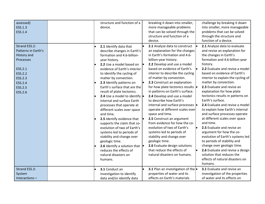| assessed)<br>ESS.1.3<br>ESS.1.4                                                                                                    | structure and function of a<br>device.                                                                                                                                                                                                                                                                                                                                                                                                                                                                                                                                                                                                                                                                                                            | breaking it down into smaller,<br>more manageable problems<br>that can be solved through the<br>structure and function of a<br>device.                                                                                                                                                                                                                                                                                                                                                                                                                                                                                                                                                                                                                                                        | challenge by breaking it down<br>into smaller, more manageable<br>problems that can be solved<br>through the structure and<br>function of a device.                                                                                                                                                                                                                                                                                                                                                                                                                                                                                                                                                                                                                          |
|------------------------------------------------------------------------------------------------------------------------------------|---------------------------------------------------------------------------------------------------------------------------------------------------------------------------------------------------------------------------------------------------------------------------------------------------------------------------------------------------------------------------------------------------------------------------------------------------------------------------------------------------------------------------------------------------------------------------------------------------------------------------------------------------------------------------------------------------------------------------------------------------|-----------------------------------------------------------------------------------------------------------------------------------------------------------------------------------------------------------------------------------------------------------------------------------------------------------------------------------------------------------------------------------------------------------------------------------------------------------------------------------------------------------------------------------------------------------------------------------------------------------------------------------------------------------------------------------------------------------------------------------------------------------------------------------------------|------------------------------------------------------------------------------------------------------------------------------------------------------------------------------------------------------------------------------------------------------------------------------------------------------------------------------------------------------------------------------------------------------------------------------------------------------------------------------------------------------------------------------------------------------------------------------------------------------------------------------------------------------------------------------------------------------------------------------------------------------------------------------|
| Strand ESS.2:<br>Patterns in Earth's<br>History and<br>Processes<br>ESS.2.1<br>ESS.2.2<br>ESS.2.3<br>ESS.2.4<br>ESS.2.5<br>ESS.2.6 | 2.1 Identify data that<br>describe changes in Earth's<br>formation and 4.6-billion-<br>year history.<br>2.2 Use a model based on<br>evidence of Earth's interior<br>to identify the cycling of<br>matter by convection.<br>2.3 Identify patterns on<br>Earth's surface that are the<br>result of plate tectonics.<br>2.4 Use a model to identify $\bullet$<br>internal and surface Earth<br>processes that operate at<br>different scales over space<br>and time.<br>2.5 Identify evidence that<br>supports the claim that co-<br>evolution of two of Earth's<br>systems led to periods of<br>stability and change over<br>geologic time.<br>2.6 Identify a solution that $\vert \bullet \vert$<br>reduces the effects of<br>natural disasters on | 2.1 Analyze data to construct<br>an explanation for the changes<br>in Earth's formation and 4.6-<br>billion-year history.<br>2.2 Develop and use a model<br>based on evidence of Earth's<br>interior to describe the cycling<br>of matter by convection.<br>2.3 Construct an explanation<br>for how plate tectonics results  <br>in patterns on Earth's surface.<br>2.4 Develop and use a model<br>to describe how Earth's<br>internal and surface processes  <br>operate at different scales over<br>space and time.<br>2.5 Construct an argument<br>from evidence for how the co-<br>evolution of two of Earth's<br>systems led to periods of<br>stability and change over<br>geologic time.<br>2.6 Evaluate design solutions<br>that reduce the effects of<br>natural disasters on humans. | 2.1 Analyze data to evaluate<br>and revise an explanation for<br>the changes in Earth's<br>formation and 4.6-billion-year<br>history.<br>2.2 Evaluate and revise a model<br>based on evidence of Earth's<br>interior to explain the cycling of<br>matter by convection.<br>2.3 Evaluate and revise an<br>explanation for how plate<br>tectonics results in patterns on<br>Earth's surface.<br>2.4 Evaluate and revise a model<br>to explain how Earth's internal<br>and surface processes operate<br>at different scales over space<br>and time.<br>2.5 Evaluate and revise an<br>argument for how the co-<br>evolution of Earth's systems led<br>to periods of stability and<br>change over geologic time.<br>2.6 Evaluate and revise a design<br>solution that reduces the |
| Strand ESS.3:<br>System<br>Interactions-                                                                                           | humans.<br>3.1 Conduct an<br>investigation to identify<br>data and/or identify data                                                                                                                                                                                                                                                                                                                                                                                                                                                                                                                                                                                                                                                               | 3.1 Plan an investigation of the<br>properties of water and its<br>effects on Earth's materials                                                                                                                                                                                                                                                                                                                                                                                                                                                                                                                                                                                                                                                                                               | effects of natural disasters on<br>humans.<br>3.1 Evaluate and revise an<br>investigation of the properties<br>of water and its effects on                                                                                                                                                                                                                                                                                                                                                                                                                                                                                                                                                                                                                                   |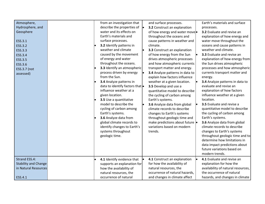|                                 |  |                                                                                |                                 | Earth's materials and surface      |
|---------------------------------|--|--------------------------------------------------------------------------------|---------------------------------|------------------------------------|
| Atmosphere,<br>Hydrosphere, and |  | from an investigation that<br>describe the properties of $\vert \bullet \vert$ | and surface processes.          |                                    |
|                                 |  | water and its effects on                                                       | 3.2 Construct an explanation    | processes.                         |
| Geosphere                       |  | Earth's materials and                                                          | of how energy and water move    | 3.2 Evaluate and revise an         |
|                                 |  |                                                                                | throughout the oceans and       | explanation of how energy and      |
| ESS.3.1                         |  | surface processes.                                                             | cause patterns in weather and   | water move throughout the          |
| ESS.3.2                         |  | 3.2 Identify patterns in                                                       | climate.                        | oceans and cause patterns in       |
| ESS.3.3                         |  | weather and climate                                                            | 3.3 Construct an explanation    | weather and climate.               |
| ESS.3.4                         |  | caused by the movement                                                         | of how energy from the Sun      | 3.3 Evaluate and revise an         |
| ESS.3.5                         |  | of energy and water                                                            | drives atmospheric processes    | explanation of how energy from     |
| ESS.3.6                         |  | throughout the oceans.                                                         | and how atmospheric currents    | the Sun drives atmospheric         |
| ESS.3.7 (not                    |  | 3.3 Identify an atmospheric                                                    | transport matter and energy.    | processes and how atmospheric      |
| assessed)                       |  | process driven by energy                                                       | 3.4 Analyze patterns in data to | currents transport matter and      |
|                                 |  | from the Sun.                                                                  | explain how factors influence   | energy.                            |
|                                 |  | 3.4 Analyze patterns in                                                        | weather at a given location.    | 3.4 Analyze patterns in data to    |
|                                 |  | data to identify factors that $\bullet$                                        | 3.5 Develop and use a           | evaluate and revise an             |
|                                 |  | influence weather at a                                                         | quantitative model to describe  | explanation of how factors         |
|                                 |  | given location.                                                                | the cycling of carbon among     | influence weather at a given       |
|                                 |  | 3.5 Use a quantitative                                                         | Earth's systems.                | location.                          |
|                                 |  | model to describe the                                                          | 3.6 Analyze data from global    | 3.5 Evaluate and revise a          |
|                                 |  | cycling of carbon among                                                        | climate records to describe     | quantitative model to describe     |
|                                 |  | Earth's systems.                                                               | changes to Earth's systems      | the cycling of carbon among        |
|                                 |  | 3.6 Analyze data from                                                          | throughout geologic time and    | Earth's systems.                   |
|                                 |  | global climate records to                                                      | make predictions about future . | 3.6 Analyze data from global       |
|                                 |  | identify changes to Earth's                                                    | variations based on modern      | climate records to describe        |
|                                 |  | systems throughout                                                             | trends.                         | changes to Earth's systems         |
|                                 |  | geologic time.                                                                 |                                 | throughout geologic time and to    |
|                                 |  |                                                                                |                                 | determine how limitations in       |
|                                 |  |                                                                                |                                 | data impact predictions about      |
|                                 |  |                                                                                |                                 | future variations based on         |
|                                 |  |                                                                                |                                 | modern trends.                     |
|                                 |  |                                                                                |                                 |                                    |
| Strand ESS.4:                   |  | 4.1 Identify evidence that                                                     | 4.1 Construct an explanation    | 4.1 Evaluate and revise an         |
| <b>Stability and Change</b>     |  | supports an explanation for                                                    | for how the availability of     | explanation for how the            |
| in Natural Resources            |  | how the availability of                                                        | natural resources, the          | availability of natural resources, |
|                                 |  | natural resources, the                                                         | occurrence of natural hazards,  | the occurrence of natural          |
| ESS.4.1                         |  | occurrence of natural                                                          | and changes in climate affect   | hazards, and changes in climate    |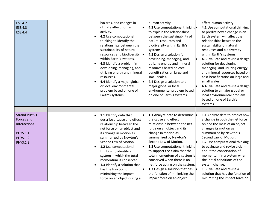| ESS.4.2<br>ESS.4.3<br>ESS.4.4                                                                                | hazards, and changes in<br>climate affect human<br>activity.<br>4.2 Use computational<br>thinking to identify the<br>relationships between the<br>sustainability of natural<br>resources and biodiversity  .<br>within Earth's systems.<br>4.3 Identify a problem in<br>developing, managing, and<br>utilizing energy and mineral<br>resources.<br>4.4 Identify a major global $\vert \cdot \vert$<br>or local environmental<br>problem based on one of<br>Earth's systems. | human activity.<br>4.2 Use computational thinking.<br>to explain the relationships<br>between the sustainability of<br>natural resources and<br>biodiversity within Earth's<br>systems.<br>4.3 Design a solution for<br>developing, managing, and<br>utilizing energy and mineral<br>resources based on cost-<br>benefit ratios on large and<br>small scales.<br>4.4 Design a solution to a<br>major global or local<br>environmental problem based<br>on one of Earth's systems. | affect human activity.<br>4.2 Use computational thinking<br>to predict how a change in an<br>Earth system will affect the<br>relationships between the<br>sustainability of natural<br>resources and biodiversity<br>within Earth's systems.<br>4.3 Evaluate and revise a design<br>solution for developing,<br>managing, and utilizing energy<br>and mineral resources based on<br>cost-benefit ratios on large and<br>small scales.<br>4.4 Evaluate and revise a design<br>solution to a major global or<br>local environmental problem<br>based on one of Earth's |
|--------------------------------------------------------------------------------------------------------------|-----------------------------------------------------------------------------------------------------------------------------------------------------------------------------------------------------------------------------------------------------------------------------------------------------------------------------------------------------------------------------------------------------------------------------------------------------------------------------|-----------------------------------------------------------------------------------------------------------------------------------------------------------------------------------------------------------------------------------------------------------------------------------------------------------------------------------------------------------------------------------------------------------------------------------------------------------------------------------|----------------------------------------------------------------------------------------------------------------------------------------------------------------------------------------------------------------------------------------------------------------------------------------------------------------------------------------------------------------------------------------------------------------------------------------------------------------------------------------------------------------------------------------------------------------------|
|                                                                                                              |                                                                                                                                                                                                                                                                                                                                                                                                                                                                             |                                                                                                                                                                                                                                                                                                                                                                                                                                                                                   | systems.                                                                                                                                                                                                                                                                                                                                                                                                                                                                                                                                                             |
|                                                                                                              |                                                                                                                                                                                                                                                                                                                                                                                                                                                                             |                                                                                                                                                                                                                                                                                                                                                                                                                                                                                   |                                                                                                                                                                                                                                                                                                                                                                                                                                                                                                                                                                      |
| Strand PHYS.1:<br>Forces and<br><b>Interactions</b><br><b>PHYS.1.1</b><br><b>PHYS.1.2</b><br><b>PHYS.1.3</b> | 1.1 Identify data that<br>describe a cause and effect<br>relationship between the<br>net force on an object and<br>its change in motion as<br>summarized by Newton's<br>Second Law of Motion.<br>1.2 Use computational<br>thinking to identify a<br>system in which the total<br>momentum is conserved.<br>1.3 Identify a solution that<br>has the function of<br>minimizing the impact<br>force on an object during a                                                      | 1.1 Analyze data to determine<br>the cause and effect<br>relationship between the net<br>force on an object and its<br>change in motion as<br>summarized by Newton's<br>Second Law of Motion.<br>1.2 Use computational thinking<br>to support the claim that the<br>total momentum of a system is<br>conserved when there is no<br>net force acting on the system.<br>1.3 Design a solution that has<br>the function of minimizing the<br>impact force on an object               | 1.1 Analyze data to predict how<br>a change in both the net force<br>on and the mass of an object<br>changes its motion as<br>summarized by Newton's<br>Second Law of Motion.<br>1.2 Use computational thinking<br>to evaluate and revise a claim<br>about the conservation of<br>momentum in a system when<br>the initial conditions of the<br>system change.<br>1.3 Evaluate and revise a<br>solution that has the function of<br>minimizing the impact force on                                                                                                   |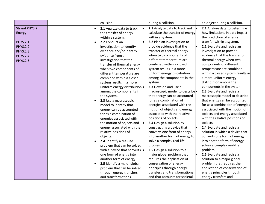|                 |  | collision.                            | during a collision.              | an object during a collision.     |
|-----------------|--|---------------------------------------|----------------------------------|-----------------------------------|
| Strand PHYS.2:  |  | 2.1 Analyze data to track             | 2.1 Analyze data to track and    | 2.1 Analyze data to determine     |
| Energy          |  | the transfer of energy                | calculate the transfer of energy | how limitations in data impact    |
|                 |  | within a system.                      | within a system.                 | the prediction of energy          |
| <b>PHYS.2.1</b> |  | 2.2 Conduct an                        | 2.2 Plan an investigation to     | transfer within a system.         |
| <b>PHYS.2.2</b> |  | investigation to identify             | provide evidence that the        | 2.2 Evaluate and revise an        |
| <b>PHYS.2.3</b> |  | evidence and/or identify              | transfer of thermal energy       | investigation to provide          |
| <b>PHYS.2.4</b> |  | evidence from an                      | when two components of           | evidence that the transfer of     |
| <b>PHYS.2.5</b> |  | investigation that the                | different temperature are        | thermal energy when two           |
|                 |  | transfer of thermal energy            | combined within a closed         | components of different           |
|                 |  | when two components of                | system results in a more         | temperature are combined          |
|                 |  | different temperature are             | uniform energy distribution      | within a closed system results in |
|                 |  | combined within a closed              | among the components in the      | a more uniform energy             |
|                 |  | system results in a more              | system.                          | distribution among the            |
|                 |  | uniform energy distribution .         | 2.3 Develop and use a            | components in the system.         |
|                 |  | among the components in               | macroscopic model to describe    | 2.3 Evaluate and revise a         |
|                 |  | the system.                           | that energy can be accounted     | macroscopic model to describe     |
|                 |  | 2.3 Use a macroscopic                 | for as a combination of          | that energy can be accounted      |
|                 |  | model to identify that                | energies associated with the     | for as a combination of energies  |
|                 |  | energy can be accounted               | motion of objects and energy     | associated with the motion of     |
|                 |  | for as a combination of               | associated with the relative     | objects and energy associated     |
|                 |  | energies associated with              | positions of objects.            | with the relative positions of    |
|                 |  | the motion of objects and             | 2.4 Design a solution by         | objects.                          |
|                 |  | energy associated with the            | constructing a device that       | 2.4 Evaluate and revise a         |
|                 |  | relative positions of                 | converts one form of energy      | solution in which a device that   |
|                 |  | objects.                              | into another form of energy to   | converts one form of energy       |
|                 |  | 2.4 Identify a real-life              | solve a complex real-life        | into another form of energy       |
|                 |  | problem that can be solved            | problem.                         | solves a complex real-life        |
|                 |  | with a device that converts $\bullet$ | 2.5 Design a solution to a       | problem.                          |
|                 |  | one form of energy into               | major global problem that        | 2.5 Evaluate and revise a         |
|                 |  | another form of energy.               | requires the application of      | solution to a major global        |
|                 |  | 2.5 Identify a major global           | conservation of energy           | problem that requires the         |
|                 |  | problem that can be solved            | principles through energy        | application of conservation of    |
|                 |  | through energy transfers              | transfers and transformations    | energy principles through         |
|                 |  | and transformations.                  | and that accounts for societal   | energy transfers and              |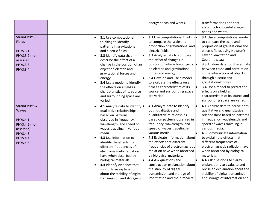|                                                                                                                                                 |                                                                                                                                                                                                                                                                                                                                                                                                                                                                            | energy needs and wants.                                                                                                                                                                                                                                                                                                                                                                                                                                                                                                 | transformations and that<br>accounts for societal energy<br>needs and wants.                                                                                                                                                                                                                                                                                                                                                                                                                                                            |
|-------------------------------------------------------------------------------------------------------------------------------------------------|----------------------------------------------------------------------------------------------------------------------------------------------------------------------------------------------------------------------------------------------------------------------------------------------------------------------------------------------------------------------------------------------------------------------------------------------------------------------------|-------------------------------------------------------------------------------------------------------------------------------------------------------------------------------------------------------------------------------------------------------------------------------------------------------------------------------------------------------------------------------------------------------------------------------------------------------------------------------------------------------------------------|-----------------------------------------------------------------------------------------------------------------------------------------------------------------------------------------------------------------------------------------------------------------------------------------------------------------------------------------------------------------------------------------------------------------------------------------------------------------------------------------------------------------------------------------|
| <b>Strand PHYS.3:</b><br><b>Fields</b><br><b>PHYS.3.1</b><br><b>PHYS.3.2 (not</b><br>assessed)<br><b>PHYS.3.3</b><br><b>PHYS.3.4</b>            | 3.1 Use computational<br>thinking to identify<br>patterns in gravitational<br>and electric fields.<br>3.3 Identify data that<br>describe the effect of a<br>change in the position of an<br>object on electric and<br>gravitational forces and<br>energy.<br>3.4 Use a model to identify<br>the effects on a field as<br>characteristics of its source<br>and surrounding space are<br>varied.                                                                             | 3.1 Use computational thinking.<br>to compare the scale and<br>proportion of gravitational and<br>electric fields.<br>3.3 Analyze data to compare<br>the effect of changes in<br>position of interacting objects  <br>on electric and gravitational<br>forces and energy.<br>3.4 Develop and use a model<br>to evaluate the effects on a<br>field as characteristics of its<br>source and surrounding space<br>are varied.                                                                                              | 3.1 Use a computational model<br>to compare the scale and<br>proportion of gravitational and<br>electric fields using Newton's<br>Law of Gravitation and<br>Coulomb's Law.<br>3.3 Analyze data to differentiate<br>between cause and correlation<br>in the interactions of objects<br>through electric and<br>gravitational forces.<br>3.4 Use a model to predict the<br>effects on a field as<br>characteristics of its source and<br>surrounding space are varied.                                                                    |
| <b>Strand PHYS.4:</b><br><b>Waves</b><br><b>PHYS.4.1</b><br>PHYS.4.2 (not<br>assessed)<br><b>PHYS.4.3</b><br><b>PHYS.4.4</b><br><b>PHYS.4.5</b> | 4.1 Analyze data to identify .<br>qualitative relationships<br>based on patterns<br>observed in frequency,<br>wavelength, and speed of<br>waves traveling in various<br>media.<br>4.3 Use information to<br>identify the effects that<br>different frequencies of<br>electromagnetic radiation<br>have when absorbed by<br>biological materials.<br>4.4 Identify evidence that<br>supports an explanation<br>about the stability of digital<br>transmission and storage of | 4.1 Analyze data to identify<br>both qualitative and<br>quantitative relationships<br>based on patterns observed in<br>frequency, wavelength, and<br>speed of waves traveling in<br>various media.<br>4.3 Evaluate information about<br>the effects that different<br>frequencies of electromagnetic<br>radiation have when absorbed<br>by biological materials.<br>4.4 Ask questions and<br>construct an explanation about<br>the stability of digital<br>transmission and storage of<br>information and their impacts | 4.1 Analyze data to derive both<br>qualitative and quantitative<br>relationships based on patterns<br>in frequency, wavelength, and<br>speed of waves traveling in<br>various media.<br>4.3 Communicate information<br>to explain the effects that<br>different frequencies of<br>electromagnetic radiation have<br>when absorbed by biological<br>materials.<br>4.4 Ask questions to clarify<br>explanations to evaluate and<br>revise an explanation about the<br>stability of digital transmission<br>and storage of information and |